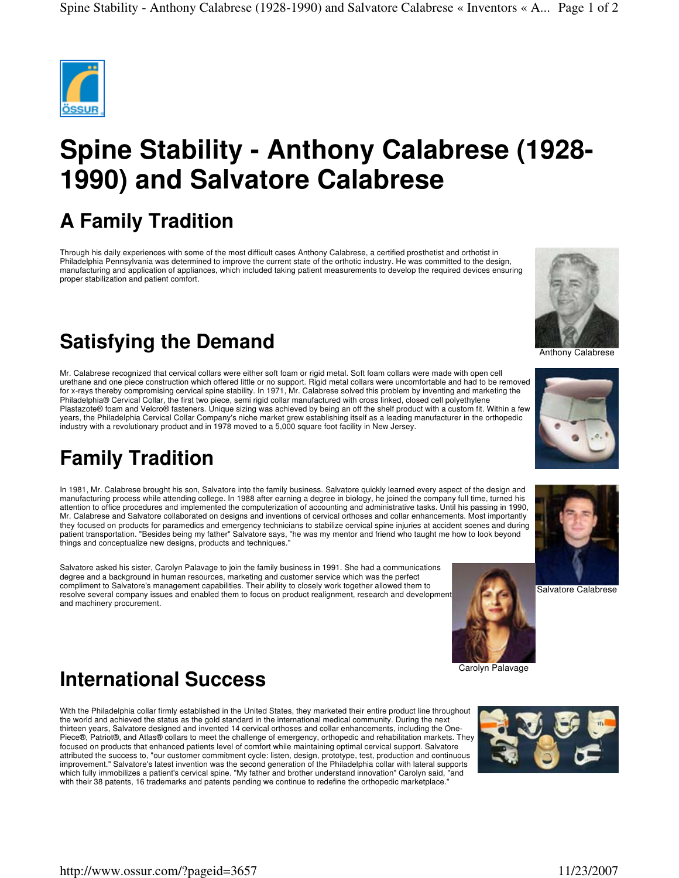

# **Spine Stability - Anthony Calabrese (1928- 1990) and Salvatore Calabrese**

### **A Family Tradition**

Through his daily experiences with some of the most difficult cases Anthony Calabrese, a certified prosthetist and orthotist in Philadelphia Pennsylvania was determined to improve the current state of the orthotic industry. He was committed to the design, manufacturing and application of appliances, which included taking patient measurements to develop the required devices ensuring proper stabilization and patient comfort.

## **Satisfying the Demand**

Mr. Calabrese recognized that cervical collars were either soft foam or rigid metal. Soft foam collars were made with open cell urethane and one piece construction which offered little or no support. Rigid metal collars were uncomfortable and had to be removed for x-rays thereby compromising cervical spine stability. In 1971, Mr. Calabrese solved this problem by inventing and marketing the Philadelphia® Cervical Collar, the first two piece, semi rigid collar manufactured with cross linked, closed cell polyethylene Plastazote® foam and Velcro® fasteners. Unique sizing was achieved by being an off the shelf product with a custom fit. Within a few years, the Philadelphia Cervical Collar Company's niche market grew establishing itself as a leading manufacturer in the orthopedic industry with a revolutionary product and in 1978 moved to a 5,000 square foot facility in New Jersey.

#### **Family Tradition**

In 1981, Mr. Calabrese brought his son, Salvatore into the family business. Salvatore quickly learned every aspect of the design and manufacturing process while attending college. In 1988 after earning a degree in biology, he joined the company full time, turned his attention to office procedures and implemented the computerization of accounting and administrative tasks. Until his passing in 1990, Mr. Calabrese and Salvatore collaborated on designs and inventions of cervical orthoses and collar enhancements. Most importantly they focused on products for paramedics and emergency technicians to stabilize cervical spine injuries at accident scenes and during patient transportation. "Besides being my father" Salvatore says, "he was my mentor and friend who taught me how to look beyond things and conceptualize new designs, products and techniques.

Salvatore asked his sister, Carolyn Palavage to join the family business in 1991. She had a communications degree and a background in human resources, marketing and customer service which was the perfect compliment to Salvatore's management capabilities. Their ability to closely work together allowed them to resolve several company issues and enabled them to focus on product realignment, research and development and machinery procurement.



#### **International Success**

With the Philadelphia collar firmly established in the United States, they marketed their entire product line throughout the world and achieved the status as the gold standard in the international medical community. During the next thirteen years, Salvatore designed and invented 14 cervical orthoses and collar enhancements, including the One-Piece®, Patriot®, and Atlas® collars to meet the challenge of emergency, orthopedic and rehabilitation markets. They focused on products that enhanced patients level of comfort while maintaining optimal cervical support. Salvatore attributed the success to, "our customer commitment cycle: listen, design, prototype, test, production and continuous improvement." Salvatore's latest invention was the second generation of the Philadelphia collar with lateral supports which fully immobilizes a patient's cervical spine. "My father and brother understand innovation" Carolyn said, "and with their 38 patents, 16 trademarks and patents pending we continue to redefine the orthopedic marketplace."











Salvatore Calabrese